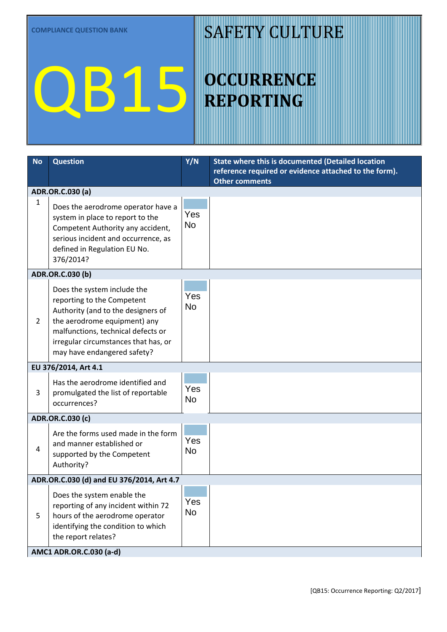#### SAFETY CULTURE

| <b>No</b>      | <b>Question</b>                                                                                                                                                                                                                              | Y/N              | State where this is documented (Detailed location<br>reference required or evidence attached to the form).<br><b>Other comments</b> |  |  |
|----------------|----------------------------------------------------------------------------------------------------------------------------------------------------------------------------------------------------------------------------------------------|------------------|-------------------------------------------------------------------------------------------------------------------------------------|--|--|
|                | ADR.OR.C.030 (a)                                                                                                                                                                                                                             |                  |                                                                                                                                     |  |  |
| 1              | Does the aerodrome operator have a<br>system in place to report to the<br>Competent Authority any accident,<br>serious incident and occurrence, as<br>defined in Regulation EU No.<br>376/2014?                                              | Yes<br><b>No</b> |                                                                                                                                     |  |  |
|                | ADR.OR.C.030 (b)                                                                                                                                                                                                                             |                  |                                                                                                                                     |  |  |
| $\overline{2}$ | Does the system include the<br>reporting to the Competent<br>Authority (and to the designers of<br>the aerodrome equipment) any<br>malfunctions, technical defects or<br>irregular circumstances that has, or<br>may have endangered safety? | Yes<br><b>No</b> |                                                                                                                                     |  |  |
|                | EU 376/2014, Art 4.1                                                                                                                                                                                                                         |                  |                                                                                                                                     |  |  |
| 3              | Has the aerodrome identified and<br>promulgated the list of reportable<br>occurrences?                                                                                                                                                       | Yes<br><b>No</b> |                                                                                                                                     |  |  |
|                | ADR.OR.C.030 (c)                                                                                                                                                                                                                             |                  |                                                                                                                                     |  |  |
| 4              | Are the forms used made in the form<br>and manner established or<br>supported by the Competent<br>Authority?                                                                                                                                 | Yes<br>No        |                                                                                                                                     |  |  |
|                | ADR.OR.C.030 (d) and EU 376/2014, Art 4.7                                                                                                                                                                                                    |                  |                                                                                                                                     |  |  |
| 5              | Does the system enable the<br>reporting of any incident within 72<br>hours of the aerodrome operator<br>identifying the condition to which<br>the report relates?                                                                            | Yes<br><b>No</b> |                                                                                                                                     |  |  |
|                | AMC1 ADR.OR.C.030 (a-d)                                                                                                                                                                                                                      |                  |                                                                                                                                     |  |  |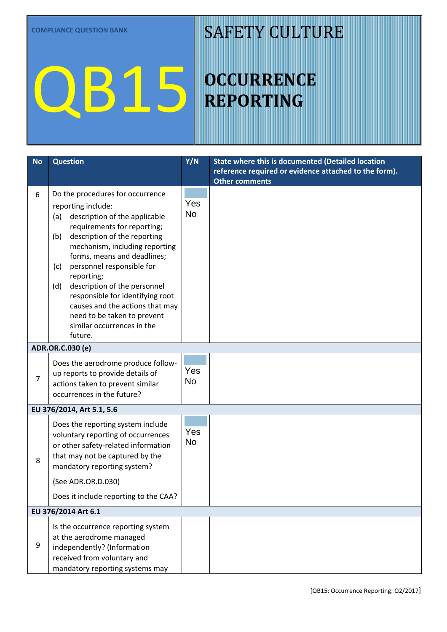#### SAFETY CULTURE

| reference required or evidence attached to the form). |
|-------------------------------------------------------|
|                                                       |
|                                                       |
|                                                       |
|                                                       |
|                                                       |
|                                                       |
|                                                       |
|                                                       |
|                                                       |
|                                                       |
|                                                       |
|                                                       |
|                                                       |
|                                                       |
|                                                       |
|                                                       |
|                                                       |
|                                                       |
|                                                       |
|                                                       |
|                                                       |
|                                                       |
|                                                       |
|                                                       |
|                                                       |
|                                                       |
|                                                       |
|                                                       |
|                                                       |
|                                                       |
|                                                       |
|                                                       |
|                                                       |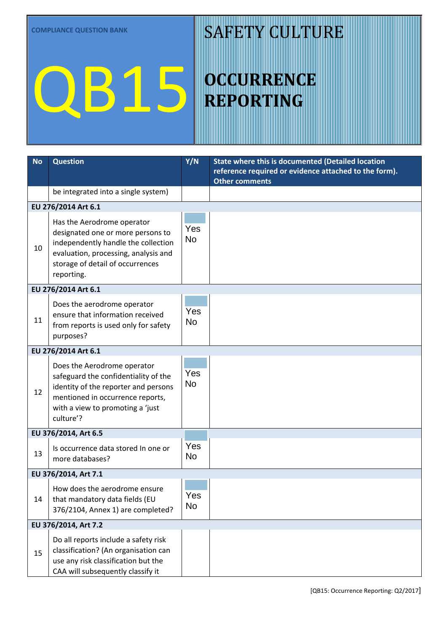#### SAFETY CULTURE

| <b>No</b> | <b>Question</b>                                                                                                                                                                                  | Y/N              | State where this is documented (Detailed location<br>reference required or evidence attached to the form).<br><b>Other comments</b> |  |  |
|-----------|--------------------------------------------------------------------------------------------------------------------------------------------------------------------------------------------------|------------------|-------------------------------------------------------------------------------------------------------------------------------------|--|--|
|           | be integrated into a single system)                                                                                                                                                              |                  |                                                                                                                                     |  |  |
|           | EU 276/2014 Art 6.1                                                                                                                                                                              |                  |                                                                                                                                     |  |  |
| 10        | Has the Aerodrome operator<br>designated one or more persons to<br>independently handle the collection<br>evaluation, processing, analysis and<br>storage of detail of occurrences<br>reporting. | Yes<br><b>No</b> |                                                                                                                                     |  |  |
|           | EU 276/2014 Art 6.1                                                                                                                                                                              |                  |                                                                                                                                     |  |  |
| 11        | Does the aerodrome operator<br>ensure that information received<br>from reports is used only for safety<br>purposes?                                                                             | Yes<br><b>No</b> |                                                                                                                                     |  |  |
|           | EU 276/2014 Art 6.1                                                                                                                                                                              |                  |                                                                                                                                     |  |  |
| 12        | Does the Aerodrome operator<br>safeguard the confidentiality of the<br>identity of the reporter and persons<br>mentioned in occurrence reports,<br>with a view to promoting a 'just<br>culture'? | Yes<br><b>No</b> |                                                                                                                                     |  |  |
|           | EU 376/2014, Art 6.5                                                                                                                                                                             |                  |                                                                                                                                     |  |  |
| 13        | Is occurrence data stored In one or<br>more databases?                                                                                                                                           | Yes<br><b>No</b> |                                                                                                                                     |  |  |
|           | EU 376/2014, Art 7.1                                                                                                                                                                             |                  |                                                                                                                                     |  |  |
| 14        | How does the aerodrome ensure<br>that mandatory data fields (EU<br>376/2104, Annex 1) are completed?                                                                                             | Yes<br><b>No</b> |                                                                                                                                     |  |  |
|           | EU 376/2014, Art 7.2                                                                                                                                                                             |                  |                                                                                                                                     |  |  |
| 15        | Do all reports include a safety risk<br>classification? (An organisation can<br>use any risk classification but the<br>CAA will subsequently classify it                                         | Yes<br>No        |                                                                                                                                     |  |  |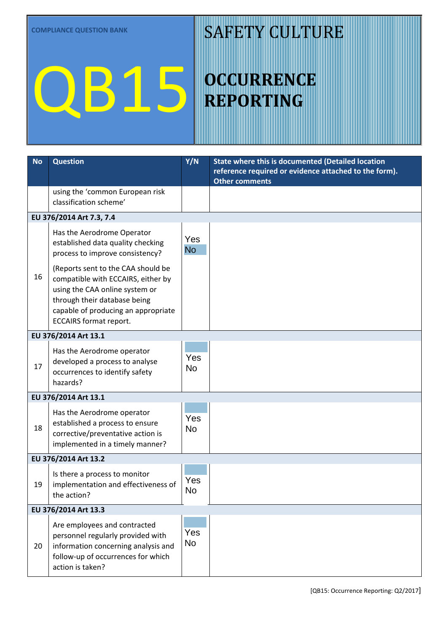#### SAFETY CULTURE

| <b>No</b> | <b>Question</b>                                                                                                                                                                                                    | Y/N              | State where this is documented (Detailed location<br>reference required or evidence attached to the form).<br>Other comments |
|-----------|--------------------------------------------------------------------------------------------------------------------------------------------------------------------------------------------------------------------|------------------|------------------------------------------------------------------------------------------------------------------------------|
|           | using the 'common European risk<br>classification scheme'                                                                                                                                                          |                  |                                                                                                                              |
|           | EU 376/2014 Art 7.3, 7.4                                                                                                                                                                                           |                  |                                                                                                                              |
|           | Has the Aerodrome Operator<br>established data quality checking<br>process to improve consistency?                                                                                                                 | Yes<br><b>No</b> |                                                                                                                              |
| 16        | (Reports sent to the CAA should be<br>compatible with ECCAIRS, either by<br>using the CAA online system or<br>through their database being<br>capable of producing an appropriate<br><b>ECCAIRS format report.</b> |                  |                                                                                                                              |
|           | EU 376/2014 Art 13.1                                                                                                                                                                                               |                  |                                                                                                                              |
| 17        | Has the Aerodrome operator<br>developed a process to analyse<br>occurrences to identify safety<br>hazards?                                                                                                         | Yes<br><b>No</b> |                                                                                                                              |
|           | EU 376/2014 Art 13.1                                                                                                                                                                                               |                  |                                                                                                                              |
| 18        | Has the Aerodrome operator<br>established a process to ensure<br>corrective/preventative action is<br>implemented in a timely manner?                                                                              | Yes<br><b>No</b> |                                                                                                                              |
|           | EU 376/2014 Art 13.2                                                                                                                                                                                               |                  |                                                                                                                              |
| 19        | Is there a process to monitor<br>implementation and effectiveness of<br>the action?                                                                                                                                | Yes<br>No        |                                                                                                                              |
|           | EU 376/2014 Art 13.3                                                                                                                                                                                               |                  |                                                                                                                              |
| 20        | Are employees and contracted<br>personnel regularly provided with<br>information concerning analysis and<br>follow-up of occurrences for which<br>action is taken?                                                 | Yes<br><b>No</b> |                                                                                                                              |